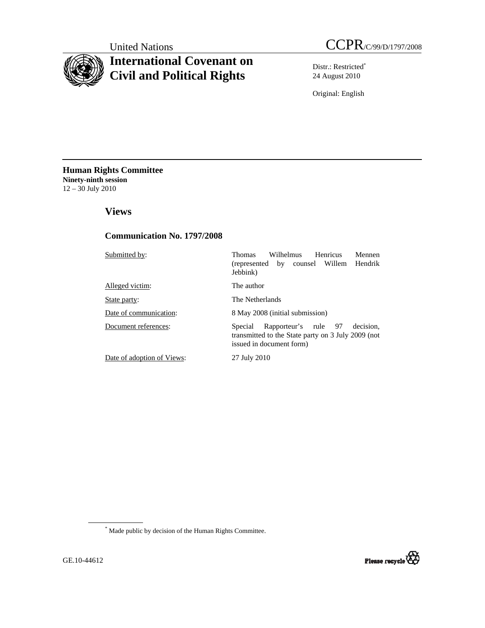# **International Covenant on Civil and Political Rights**

Distr.: Restricted\* 24 August 2010

Original: English

**Human Rights Committee Ninety-ninth session**  12 – 30 July 2010

 **Views** 

# **Communication No. 1797/2008**

| Submitted by:              | Wilhelmus<br>Henricus<br>Mennen<br><b>Thomas</b><br>(represented by counsel Willem Hendrik<br>Jebbink)                         |  |  |
|----------------------------|--------------------------------------------------------------------------------------------------------------------------------|--|--|
| Alleged victim:            | The author                                                                                                                     |  |  |
| State party:               | The Netherlands                                                                                                                |  |  |
| Date of communication:     | 8 May 2008 (initial submission)                                                                                                |  |  |
| Document references:       | Rapporteur's rule 97<br>decision.<br>Special<br>transmitted to the State party on 3 July 2009 (not<br>issued in document form) |  |  |
| Date of adoption of Views: | 27 July 2010                                                                                                                   |  |  |

\* Made public by decision of the Human Rights Committee.

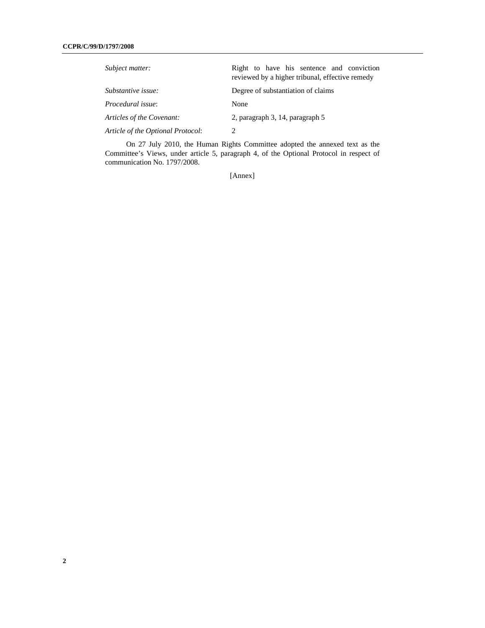| Subject matter:                   | Right to have his sentence and conviction<br>reviewed by a higher tribunal, effective remedy |
|-----------------------------------|----------------------------------------------------------------------------------------------|
| Substantive issue:                | Degree of substantiation of claims                                                           |
| Procedural issue:                 | None                                                                                         |
| Articles of the Covenant:         | 2, paragraph 3, 14, paragraph 5                                                              |
| Article of the Optional Protocol: |                                                                                              |

 On 27 July 2010, the Human Rights Committee adopted the annexed text as the Committee's Views, under article 5, paragraph 4, of the Optional Protocol in respect of communication No. 1797/2008.

[Annex]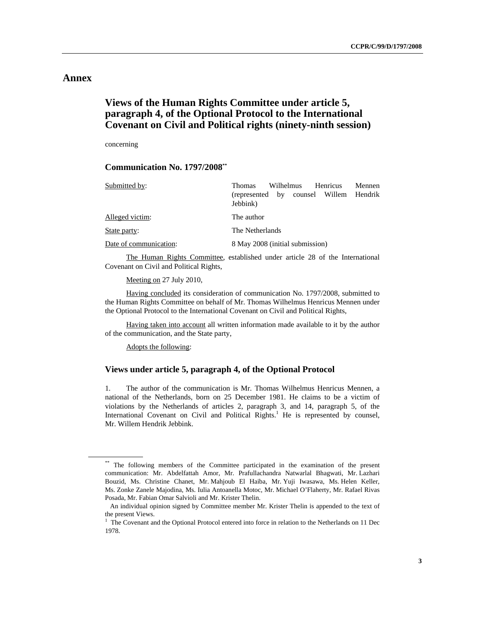# **Annex**

# **Views of the Human Rights Committee under article 5, paragraph 4, of the Optional Protocol to the International Covenant on Civil and Political rights (ninety-ninth session)**

concerning

# **Communication No. 1797/2008\*\***

| Submitted by:          | Wilhelmus<br>Henricus<br><b>Thomas</b>                | <b>Mennen</b> |
|------------------------|-------------------------------------------------------|---------------|
|                        | counsel Willem Hendrik<br>(represented by<br>Jebbink) |               |
| Alleged victim:        | The author                                            |               |
| State party:           | The Netherlands                                       |               |
| Date of communication: | 8 May 2008 (initial submission)                       |               |

 The Human Rights Committee, established under article 28 of the International Covenant on Civil and Political Rights,

Meeting on 27 July 2010,

 Having concluded its consideration of communication No. 1797/2008, submitted to the Human Rights Committee on behalf of Mr. Thomas Wilhelmus Henricus Mennen under the Optional Protocol to the International Covenant on Civil and Political Rights,

 Having taken into account all written information made available to it by the author of the communication, and the State party,

Adopts the following:

# **Views under article 5, paragraph 4, of the Optional Protocol**

1. The author of the communication is Mr. Thomas Wilhelmus Henricus Mennen, a national of the Netherlands, born on 25 December 1981. He claims to be a victim of violations by the Netherlands of articles 2, paragraph 3, and 14, paragraph 5, of the International Covenant on Civil and Political Rights.<sup>1</sup> He is represented by counsel, Mr. Willem Hendrik Jebbink.

<sup>\*\*</sup> The following members of the Committee participated in the examination of the present communication: Mr. Abdelfattah Amor, Mr. Prafullachandra Natwarlal Bhagwati, Mr. Lazhari Bouzid, Ms. Christine Chanet, Mr. Mahjoub El Haiba, Mr. Yuji Iwasawa, Ms. Helen Keller, Ms. Zonke Zanele Majodina, Ms. Iulia Antoanella Motoc, Mr. Michael O'Flaherty, Mr. Rafael Rivas Posada, Mr. Fabian Omar Salvioli and Mr. Krister Thelin.

An individual opinion signed by Committee member Mr. Krister Thelin is appended to the text of the present Views.

<sup>&</sup>lt;sup>1</sup> The Covenant and the Optional Protocol entered into force in relation to the Netherlands on 11 Dec 1978.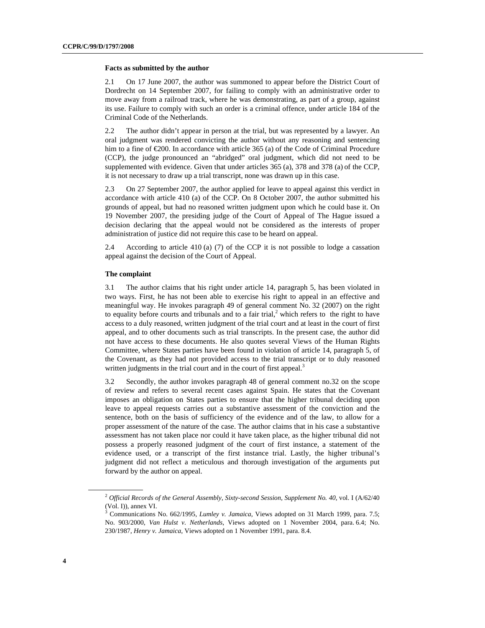#### **Facts as submitted by the author**

2.1 On 17 June 2007, the author was summoned to appear before the District Court of Dordrecht on 14 September 2007, for failing to comply with an administrative order to move away from a railroad track, where he was demonstrating, as part of a group, against its use. Failure to comply with such an order is a criminal offence, under article 184 of the Criminal Code of the Netherlands.

2.2 The author didn't appear in person at the trial, but was represented by a lawyer. An oral judgment was rendered convicting the author without any reasoning and sentencing him to a fine of €200. In accordance with article 365 (a) of the Code of Criminal Procedure (CCP), the judge pronounced an "abridged" oral judgment, which did not need to be supplemented with evidence. Given that under articles 365 (a), 378 and 378 (a) of the CCP, it is not necessary to draw up a trial transcript, none was drawn up in this case.

2.3 On 27 September 2007, the author applied for leave to appeal against this verdict in accordance with article 410 (a) of the CCP. On 8 October 2007, the author submitted his grounds of appeal, but had no reasoned written judgment upon which he could base it. On 19 November 2007, the presiding judge of the Court of Appeal of The Hague issued a decision declaring that the appeal would not be considered as the interests of proper administration of justice did not require this case to be heard on appeal.

2.4 According to article 410 (a) (7) of the CCP it is not possible to lodge a cassation appeal against the decision of the Court of Appeal.

### **The complaint**

3.1 The author claims that his right under article 14, paragraph 5, has been violated in two ways. First, he has not been able to exercise his right to appeal in an effective and meaningful way. He invokes paragraph 49 of general comment No. 32 (2007) on the right to equality before courts and tribunals and to a fair trial, $<sup>2</sup>$  which refers to the right to have</sup> access to a duly reasoned, written judgment of the trial court and at least in the court of first appeal, and to other documents such as trial transcripts. In the present case, the author did not have access to these documents. He also quotes several Views of the Human Rights Committee, where States parties have been found in violation of article 14, paragraph 5, of the Covenant, as they had not provided access to the trial transcript or to duly reasoned written judgments in the trial court and in the court of first appeal.<sup>3</sup>

3.2 Secondly, the author invokes paragraph 48 of general comment no.32 on the scope of review and refers to several recent cases against Spain. He states that the Covenant imposes an obligation on States parties to ensure that the higher tribunal deciding upon leave to appeal requests carries out a substantive assessment of the conviction and the sentence, both on the basis of sufficiency of the evidence and of the law, to allow for a proper assessment of the nature of the case. The author claims that in his case a substantive assessment has not taken place nor could it have taken place, as the higher tribunal did not possess a properly reasoned judgment of the court of first instance, a statement of the evidence used, or a transcript of the first instance trial. Lastly, the higher tribunal's judgment did not reflect a meticulous and thorough investigation of the arguments put forward by the author on appeal.

<sup>&</sup>lt;sup>2</sup> Official Records of the General Assembly, Sixty-second Session, Supplement No. 40, vol. I (A/62/40 (Vol. I)), annex VI.

<sup>3</sup> Communications No. 662/1995, *Lumley v. Jamaica*, Views adopted on 31 March 1999, para. 7.5; No. 903/2000, *Van Hulst v. Netherlands*, Views adopted on 1 November 2004, para. 6.4; No. 230/1987, *Henry v. Jamaica*, Views adopted on 1 November 1991, para. 8.4.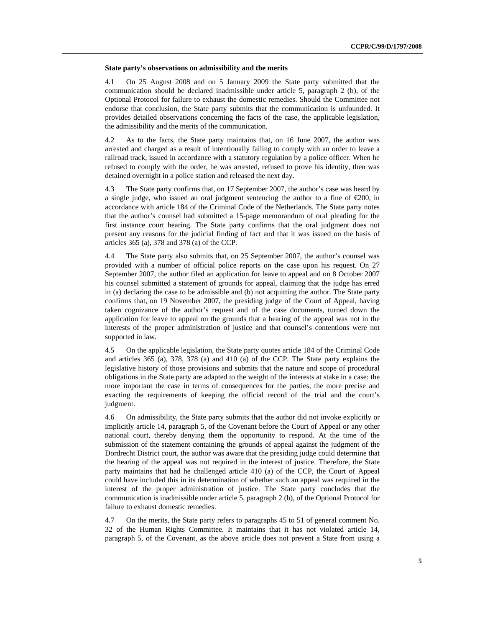#### **State party's observations on admissibility and the merits**

4.1 On 25 August 2008 and on 5 January 2009 the State party submitted that the communication should be declared inadmissible under article 5, paragraph 2 (b), of the Optional Protocol for failure to exhaust the domestic remedies. Should the Committee not endorse that conclusion, the State party submits that the communication is unfounded. It provides detailed observations concerning the facts of the case, the applicable legislation, the admissibility and the merits of the communication.

4.2 As to the facts, the State party maintains that, on 16 June 2007, the author was arrested and charged as a result of intentionally failing to comply with an order to leave a railroad track, issued in accordance with a statutory regulation by a police officer. When he refused to comply with the order, he was arrested, refused to prove his identity, then was detained overnight in a police station and released the next day.

4.3 The State party confirms that, on 17 September 2007, the author's case was heard by a single judge, who issued an oral judgment sentencing the author to a fine of  $\epsilon$ 200, in accordance with article 184 of the Criminal Code of the Netherlands. The State party notes that the author's counsel had submitted a 15-page memorandum of oral pleading for the first instance court hearing. The State party confirms that the oral judgment does not present any reasons for the judicial finding of fact and that it was issued on the basis of articles 365 (a), 378 and 378 (a) of the CCP.

4.4 The State party also submits that, on 25 September 2007, the author's counsel was provided with a number of official police reports on the case upon his request. On 27 September 2007, the author filed an application for leave to appeal and on 8 October 2007 his counsel submitted a statement of grounds for appeal, claiming that the judge has erred in (a) declaring the case to be admissible and (b) not acquitting the author. The State party confirms that, on 19 November 2007, the presiding judge of the Court of Appeal, having taken cognizance of the author's request and of the case documents, turned down the application for leave to appeal on the grounds that a hearing of the appeal was not in the interests of the proper administration of justice and that counsel's contentions were not supported in law.

4.5 On the applicable legislation, the State party quotes article 184 of the Criminal Code and articles 365 (a), 378, 378 (a) and 410 (a) of the CCP. The State party explains the legislative history of those provisions and submits that the nature and scope of procedural obligations in the State party are adapted to the weight of the interests at stake in a case: the more important the case in terms of consequences for the parties, the more precise and exacting the requirements of keeping the official record of the trial and the court's judgment.

4.6 On admissibility, the State party submits that the author did not invoke explicitly or implicitly article 14, paragraph 5, of the Covenant before the Court of Appeal or any other national court, thereby denying them the opportunity to respond. At the time of the submission of the statement containing the grounds of appeal against the judgment of the Dordrecht District court, the author was aware that the presiding judge could determine that the hearing of the appeal was not required in the interest of justice. Therefore, the State party maintains that had he challenged article 410 (a) of the CCP, the Court of Appeal could have included this in its determination of whether such an appeal was required in the interest of the proper administration of justice. The State party concludes that the communication is inadmissible under article 5, paragraph 2 (b), of the Optional Protocol for failure to exhaust domestic remedies.

4.7 On the merits, the State party refers to paragraphs 45 to 51 of general comment No. 32 of the Human Rights Committee. It maintains that it has not violated article 14, paragraph 5, of the Covenant, as the above article does not prevent a State from using a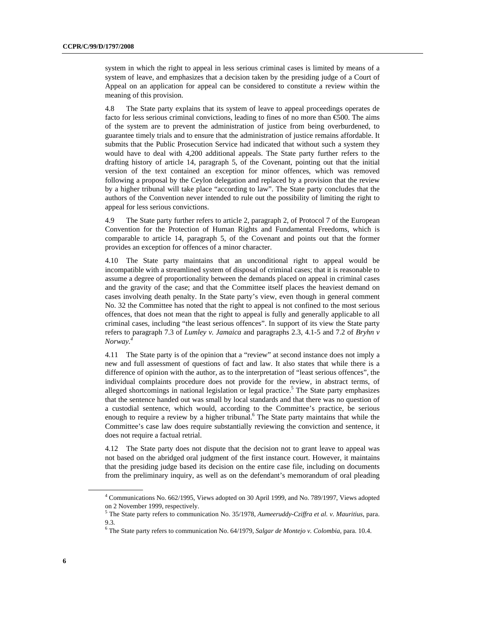system in which the right to appeal in less serious criminal cases is limited by means of a system of leave, and emphasizes that a decision taken by the presiding judge of a Court of Appeal on an application for appeal can be considered to constitute a review within the meaning of this provision.

4.8 The State party explains that its system of leave to appeal proceedings operates de facto for less serious criminal convictions, leading to fines of no more than €500. The aims of the system are to prevent the administration of justice from being overburdened, to guarantee timely trials and to ensure that the administration of justice remains affordable. It submits that the Public Prosecution Service had indicated that without such a system they would have to deal with 4,200 additional appeals. The State party further refers to the drafting history of article 14, paragraph 5, of the Covenant, pointing out that the initial version of the text contained an exception for minor offences, which was removed following a proposal by the Ceylon delegation and replaced by a provision that the review by a higher tribunal will take place "according to law". The State party concludes that the authors of the Convention never intended to rule out the possibility of limiting the right to appeal for less serious convictions.

4.9 The State party further refers to article 2, paragraph 2, of Protocol 7 of the European Convention for the Protection of Human Rights and Fundamental Freedoms, which is comparable to article 14, paragraph 5, of the Covenant and points out that the former provides an exception for offences of a minor character.

4.10 The State party maintains that an unconditional right to appeal would be incompatible with a streamlined system of disposal of criminal cases; that it is reasonable to assume a degree of proportionality between the demands placed on appeal in criminal cases and the gravity of the case; and that the Committee itself places the heaviest demand on cases involving death penalty. In the State party's view, even though in general comment No. 32 the Committee has noted that the right to appeal is not confined to the most serious offences, that does not mean that the right to appeal is fully and generally applicable to all criminal cases, including "the least serious offences". In support of its view the State party refers to paragraph 7.3 of *Lumley v. Jamaica* and paragraphs 2.3, 4.1-5 and 7.2 of *Bryhn v Norway.4*

4.11 The State party is of the opinion that a "review" at second instance does not imply a new and full assessment of questions of fact and law. It also states that while there is a difference of opinion with the author, as to the interpretation of "least serious offences", the individual complaints procedure does not provide for the review, in abstract terms, of alleged shortcomings in national legislation or legal practice.<sup>5</sup> The State party emphasizes that the sentence handed out was small by local standards and that there was no question of a custodial sentence, which would, according to the Committee's practice, be serious enough to require a review by a higher tribunal.<sup>6</sup> The State party maintains that while the Committee's case law does require substantially reviewing the conviction and sentence, it does not require a factual retrial.

4.12 The State party does not dispute that the decision not to grant leave to appeal was not based on the abridged oral judgment of the first instance court. However, it maintains that the presiding judge based its decision on the entire case file, including on documents from the preliminary inquiry, as well as on the defendant's memorandum of oral pleading

<sup>&</sup>lt;sup>4</sup> Communications No. 662/1995, Views adopted on 30 April 1999, and No. 789/1997, Views adopted on 2 November 1999, respectively.

<sup>5</sup> The State party refers to communication No. 35/1978, *Aumeeruddy-Cziffra et al. v. Mauritius,* para. 9.3.

<sup>6</sup> The State party refers to communication No. 64/1979, *Salgar de Montejo v. Colombia,* para. 10.4.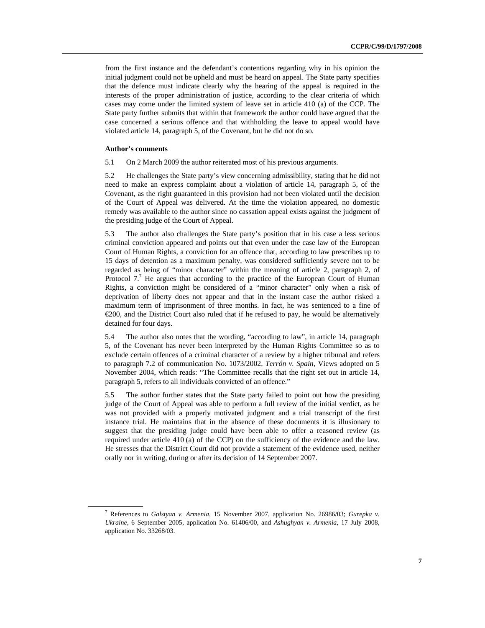from the first instance and the defendant's contentions regarding why in his opinion the initial judgment could not be upheld and must be heard on appeal. The State party specifies that the defence must indicate clearly why the hearing of the appeal is required in the interests of the proper administration of justice, according to the clear criteria of which cases may come under the limited system of leave set in article 410 (a) of the CCP. The State party further submits that within that framework the author could have argued that the case concerned a serious offence and that withholding the leave to appeal would have violated article 14, paragraph 5, of the Covenant, but he did not do so.

## **Author's comments**

5.1 On 2 March 2009 the author reiterated most of his previous arguments.

5.2 He challenges the State party's view concerning admissibility, stating that he did not need to make an express complaint about a violation of article 14, paragraph 5, of the Covenant, as the right guaranteed in this provision had not been violated until the decision of the Court of Appeal was delivered. At the time the violation appeared, no domestic remedy was available to the author since no cassation appeal exists against the judgment of the presiding judge of the Court of Appeal.

5.3 The author also challenges the State party's position that in his case a less serious criminal conviction appeared and points out that even under the case law of the European Court of Human Rights, a conviction for an offence that, according to law prescribes up to 15 days of detention as a maximum penalty, was considered sufficiently severe not to be regarded as being of "minor character" within the meaning of article 2, paragraph 2, of Protocol  $7<sup>7</sup>$  He argues that according to the practice of the European Court of Human Rights, a conviction might be considered of a "minor character" only when a risk of deprivation of liberty does not appear and that in the instant case the author risked a maximum term of imprisonment of three months. In fact, he was sentenced to a fine of €200, and the District Court also ruled that if he refused to pay, he would be alternatively detained for four days.

5.4 The author also notes that the wording, "according to law", in article 14, paragraph 5, of the Covenant has never been interpreted by the Human Rights Committee so as to exclude certain offences of a criminal character of a review by a higher tribunal and refers to paragraph 7.2 of communication No. 1073/2002, *Terrón v. Spain*, Views adopted on 5 November 2004, which reads: "The Committee recalls that the right set out in article 14, paragraph 5, refers to all individuals convicted of an offence."

5.5 The author further states that the State party failed to point out how the presiding judge of the Court of Appeal was able to perform a full review of the initial verdict, as he was not provided with a properly motivated judgment and a trial transcript of the first instance trial. He maintains that in the absence of these documents it is illusionary to suggest that the presiding judge could have been able to offer a reasoned review (as required under article 410 (a) of the CCP) on the sufficiency of the evidence and the law. He stresses that the District Court did not provide a statement of the evidence used, neither orally nor in writing, during or after its decision of 14 September 2007.

<sup>7</sup> References to *Galstyan v. Armenia*, 15 November 2007, application No. 26986/03; *Gurepka v. Ukraine*, 6 September 2005, application No. 61406/00, and *Ashughyan v. Armenia*, 17 July 2008, application No. 33268/03.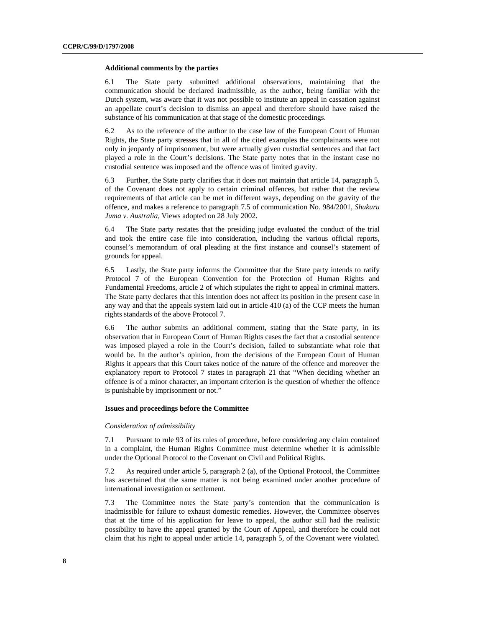#### **Additional comments by the parties**

6.1 The State party submitted additional observations, maintaining that the communication should be declared inadmissible, as the author, being familiar with the Dutch system, was aware that it was not possible to institute an appeal in cassation against an appellate court's decision to dismiss an appeal and therefore should have raised the substance of his communication at that stage of the domestic proceedings.

6.2 As to the reference of the author to the case law of the European Court of Human Rights, the State party stresses that in all of the cited examples the complainants were not only in jeopardy of imprisonment, but were actually given custodial sentences and that fact played a role in the Court's decisions. The State party notes that in the instant case no custodial sentence was imposed and the offence was of limited gravity.

6.3 Further, the State party clarifies that it does not maintain that article 14, paragraph 5, of the Covenant does not apply to certain criminal offences, but rather that the review requirements of that article can be met in different ways, depending on the gravity of the offence, and makes a reference to paragraph 7.5 of communication No. 984/2001, *Shukuru Juma v. Australia,* Views adopted on 28 July 2002.

6.4 The State party restates that the presiding judge evaluated the conduct of the trial and took the entire case file into consideration, including the various official reports, counsel's memorandum of oral pleading at the first instance and counsel's statement of grounds for appeal.

6.5 Lastly, the State party informs the Committee that the State party intends to ratify Protocol 7 of the European Convention for the Protection of Human Rights and Fundamental Freedoms, article 2 of which stipulates the right to appeal in criminal matters. The State party declares that this intention does not affect its position in the present case in any way and that the appeals system laid out in article 410 (a) of the CCP meets the human rights standards of the above Protocol 7.

6.6 The author submits an additional comment, stating that the State party, in its observation that in European Court of Human Rights cases the fact that a custodial sentence was imposed played a role in the Court's decision, failed to substantiate what role that would be. In the author's opinion, from the decisions of the European Court of Human Rights it appears that this Court takes notice of the nature of the offence and moreover the explanatory report to Protocol 7 states in paragraph 21 that "When deciding whether an offence is of a minor character, an important criterion is the question of whether the offence is punishable by imprisonment or not."

### **Issues and proceedings before the Committee**

### *Consideration of admissibility*

7.1 Pursuant to rule 93 of its rules of procedure, before considering any claim contained in a complaint, the Human Rights Committee must determine whether it is admissible under the Optional Protocol to the Covenant on Civil and Political Rights.

7.2 As required under article 5, paragraph 2 (a), of the Optional Protocol, the Committee has ascertained that the same matter is not being examined under another procedure of international investigation or settlement.

7.3 The Committee notes the State party's contention that the communication is inadmissible for failure to exhaust domestic remedies. However, the Committee observes that at the time of his application for leave to appeal, the author still had the realistic possibility to have the appeal granted by the Court of Appeal, and therefore he could not claim that his right to appeal under article 14, paragraph 5, of the Covenant were violated.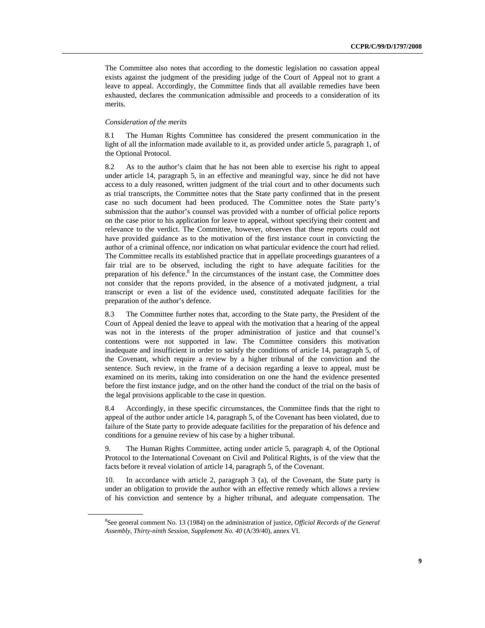The Committee also notes that according to the domestic legislation no cassation appeal exists against the judgment of the presiding judge of the Court of Appeal not to grant a leave to appeal. Accordingly, the Committee finds that all available remedies have been exhausted, declares the communication admissible and proceeds to a consideration of its merits.

### *Consideration of the merits*

8.1 The Human Rights Committee has considered the present communication in the light of all the information made available to it, as provided under article 5, paragraph 1, of the Optional Protocol.

8.2 As to the author's claim that he has not been able to exercise his right to appeal under article 14, paragraph 5, in an effective and meaningful way, since he did not have access to a duly reasoned, written judgment of the trial court and to other documents such as trial transcripts, the Committee notes that the State party confirmed that in the present case no such document had been produced. The Committee notes the State party's submission that the author's counsel was provided with a number of official police reports on the case prior to his application for leave to appeal, without specifying their content and relevance to the verdict. The Committee, however, observes that these reports could not have provided guidance as to the motivation of the first instance court in convicting the author of a criminal offence, nor indication on what particular evidence the court had relied. The Committee recalls its established practice that in appellate proceedings guarantees of a fair trial are to be observed, including the right to have adequate facilities for the preparation of his defence.<sup>8</sup> In the circumstances of the instant case, the Committee does not consider that the reports provided, in the absence of a motivated judgment, a trial transcript or even a list of the evidence used, constituted adequate facilities for the preparation of the author's defence.

8.3 The Committee further notes that, according to the State party, the President of the Court of Appeal denied the leave to appeal with the motivation that a hearing of the appeal was not in the interests of the proper administration of justice and that counsel's contentions were not supported in law. The Committee considers this motivation inadequate and insufficient in order to satisfy the conditions of article 14, paragraph 5, of the Covenant, which require a review by a higher tribunal of the conviction and the sentence. Such review, in the frame of a decision regarding a leave to appeal, must be examined on its merits, taking into consideration on one the hand the evidence presented before the first instance judge, and on the other hand the conduct of the trial on the basis of the legal provisions applicable to the case in question.

8.4 Accordingly, in these specific circumstances, the Committee finds that the right to appeal of the author under article 14, paragraph 5, of the Covenant has been violated, due to failure of the State party to provide adequate facilities for the preparation of his defence and conditions for a genuine review of his case by a higher tribunal.

9. The Human Rights Committee, acting under article 5, paragraph 4, of the Optional Protocol to the International Covenant on Civil and Political Rights, is of the view that the facts before it reveal violation of article 14, paragraph 5, of the Covenant.

10. In accordance with article 2, paragraph 3 (a), of the Covenant, the State party is under an obligation to provide the author with an effective remedy which allows a review of his conviction and sentence by a higher tribunal, and adequate compensation. The

<sup>8</sup> See general comment No. 13 (1984) on the administration of justice, *Official Records of the General Assembly, Thirty-ninth Session, Supplement No. 40* (A/39/40), annex VI.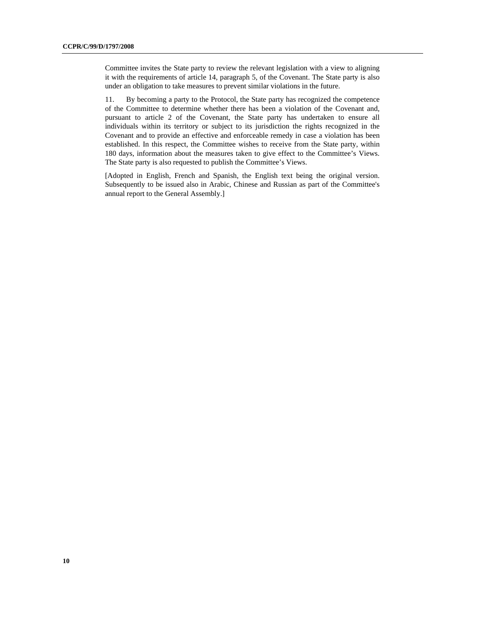Committee invites the State party to review the relevant legislation with a view to aligning it with the requirements of article 14, paragraph 5, of the Covenant. The State party is also under an obligation to take measures to prevent similar violations in the future.

11. By becoming a party to the Protocol, the State party has recognized the competence of the Committee to determine whether there has been a violation of the Covenant and, pursuant to article 2 of the Covenant, the State party has undertaken to ensure all individuals within its territory or subject to its jurisdiction the rights recognized in the Covenant and to provide an effective and enforceable remedy in case a violation has been established. In this respect, the Committee wishes to receive from the State party, within 180 days, information about the measures taken to give effect to the Committee's Views. The State party is also requested to publish the Committee's Views.

[Adopted in English, French and Spanish, the English text being the original version. Subsequently to be issued also in Arabic, Chinese and Russian as part of the Committee's annual report to the General Assembly.]